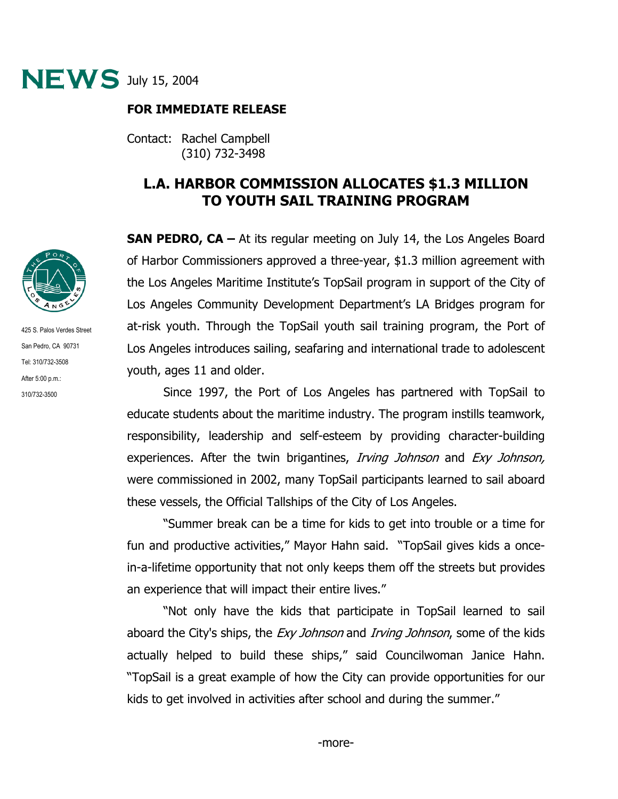

## **FOR IMMEDIATE RELEASE**

Contact: Rachel Campbell (310) 732-3498

## **L.A. HARBOR COMMISSION ALLOCATES \$1.3 MILLION TO YOUTH SAIL TRAINING PROGRAM**

**SAN PEDRO, CA –** At its regular meeting on July 14, the Los Angeles Board of Harbor Commissioners approved a three-year, \$1.3 million agreement with the Los Angeles Maritime Institute's TopSail program in support of the City of Los Angeles Community Development Department's LA Bridges program for at-risk youth. Through the TopSail youth sail training program, the Port of Los Angeles introduces sailing, seafaring and international trade to adolescent youth, ages 11 and older.

 Since 1997, the Port of Los Angeles has partnered with TopSail to educate students about the maritime industry. The program instills teamwork, responsibility, leadership and self-esteem by providing character-building experiences. After the twin brigantines, *Irving Johnson* and *Exy Johnson*, were commissioned in 2002, many TopSail participants learned to sail aboard these vessels, the Official Tallships of the City of Los Angeles.

 "Summer break can be a time for kids to get into trouble or a time for fun and productive activities," Mayor Hahn said. "TopSail gives kids a oncein-a-lifetime opportunity that not only keeps them off the streets but provides an experience that will impact their entire lives."

"Not only have the kids that participate in TopSail learned to sail aboard the City's ships, the *Exy Johnson* and *Irving Johnson*, some of the kids actually helped to build these ships," said Councilwoman Janice Hahn. "TopSail is a great example of how the City can provide opportunities for our kids to get involved in activities after school and during the summer."



425 S. Palos Verdes Street San Pedro, CA 90731 Tel: 310/732-3508 After 5:00 p.m.: 310/732-3500